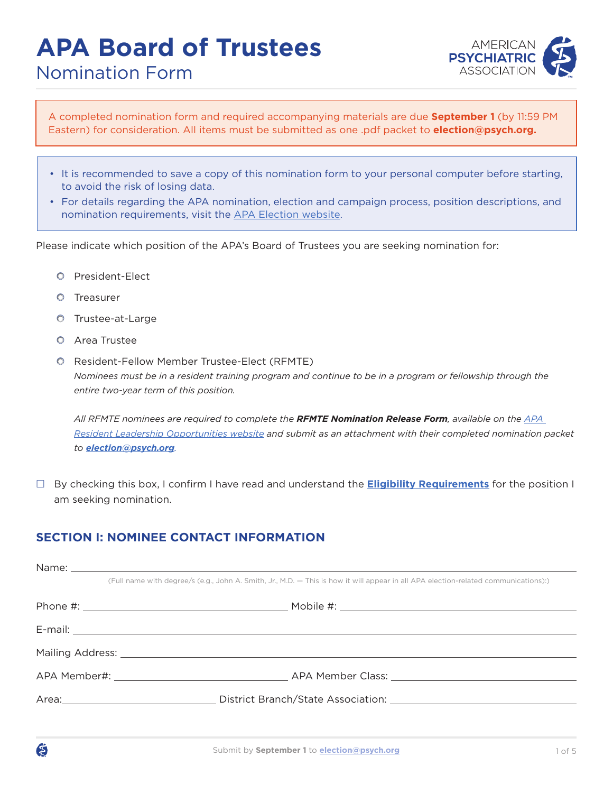# **APA Board of Trustees**  Nomination Form



A completed nomination form and required accompanying materials are due **September 1** (by 11:59 PM Eastern) for consideration. All items must be submitted as one .pdf packet to **election@psych.org.**

- It is recommended to save a copy of this nomination form to your personal computer before starting, to avoid the risk of losing data.
- For details regarding the APA nomination, election and campaign process, position descriptions, and nomination requirements, visit the [APA Election website.](www.psychiatry.org/election)

Please indicate which position of the APA's Board of Trustees you are seeking nomination for:

- O President-Elect
- **O** Treasurer
- { Trustee-at-Large
- { Area Trustee

Ć

{ Resident-Fellow Member Trustee-Elect (RFMTE) *Nominees must be in a resident training program and continue to be in a program or fellowship through the entire two-year term of this position.*

*All RFMTE nominees are required to complete the RFMTE Nomination Release Form, available on the [APA](https://www.psychiatry.org/residents-medical-students/residents/leadership-positions)  [Resident Leadership Opportunities website](https://www.psychiatry.org/residents-medical-students/residents/leadership-positions) and submit as an attachment with their completed nomination packet to [election@psych.org](mailto:election@psych.org).* 

 By checking this box, I confirm I have read and understand the **[Eligibility Requirements](https://www.psychiatry.org/psychiatrists/awards-leadership-opportunities/leadership-opportunities/elections/election-eligibility)** for the position I am seeking nomination.

#### **SECTION I: NOMINEE CONTACT INFORMATION**

| (Full name with degree/s (e.g., John A. Smith, Jr., M.D. - This is how it will appear in all APA election-related communications):) |
|-------------------------------------------------------------------------------------------------------------------------------------|
|                                                                                                                                     |
|                                                                                                                                     |
|                                                                                                                                     |
|                                                                                                                                     |
| Area: Contract District Branch/State Association: Contract District Branch/State Association:                                       |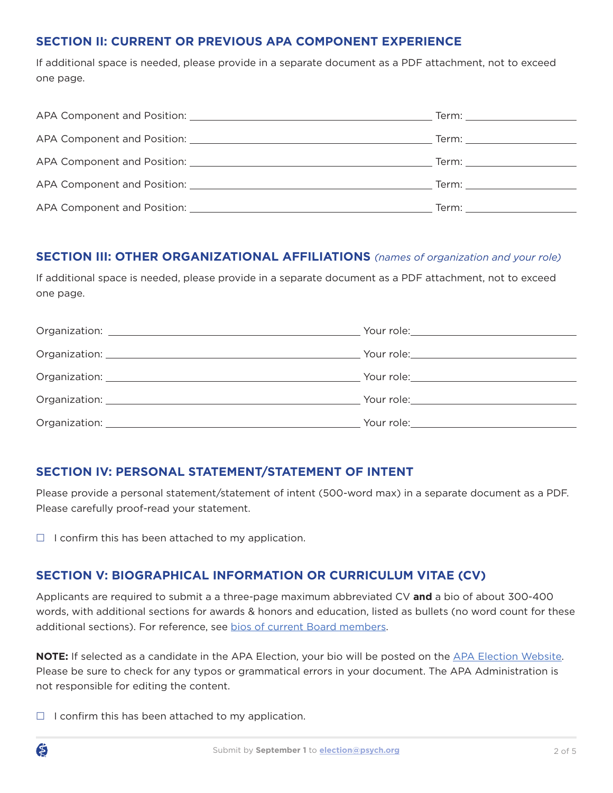## **SECTION II: CURRENT OR PREVIOUS APA COMPONENT EXPERIENCE**

If additional space is needed, please provide in a separate document as a PDF attachment, not to exceed one page.

| Term: when the contract of the contract of the contract of the contract of the contract of the contract of the |
|----------------------------------------------------------------------------------------------------------------|

## **SECTION III: OTHER ORGANIZATIONAL AFFILIATIONS** *(names of organization and your role)*

If additional space is needed, please provide in a separate document as a PDF attachment, not to exceed one page.

| Organization: National Communication of the Communication of the Communication of the Communication of the Communication of the Communication of the Communication of the Communication of the Communication of the Communicat | Your role: <u>________________________________</u> |
|--------------------------------------------------------------------------------------------------------------------------------------------------------------------------------------------------------------------------------|----------------------------------------------------|
|                                                                                                                                                                                                                                |                                                    |
|                                                                                                                                                                                                                                | <b>The Your role:</b> The Your role:               |

## **SECTION IV: PERSONAL STATEMENT/STATEMENT OF INTENT**

Please provide a personal statement/statement of intent (500-word max) in a separate document as a PDF. Please carefully proof-read your statement.

 $\Box$  I confirm this has been attached to my application.

# **SECTION V: BIOGRAPHICAL INFORMATION OR CURRICULUM VITAE (CV)**

Applicants are required to submit a a three-page maximum abbreviated CV **and** a bio of about 300-400 words, with additional sections for awards & honors and education, listed as bullets (no word count for these additional sections). For reference, see [bios of current Board members.](https://www.psychiatry.org/about-apa/meet-our-organization/board-of-trustees)

**NOTE:** If selected as a candidate in the APA Election, your bio will be posted on the [APA Election Website](http://www.psychiatry.org/election). Please be sure to check for any typos or grammatical errors in your document. The APA Administration is not responsible for editing the content.

 $\Box$  I confirm this has been attached to my application.

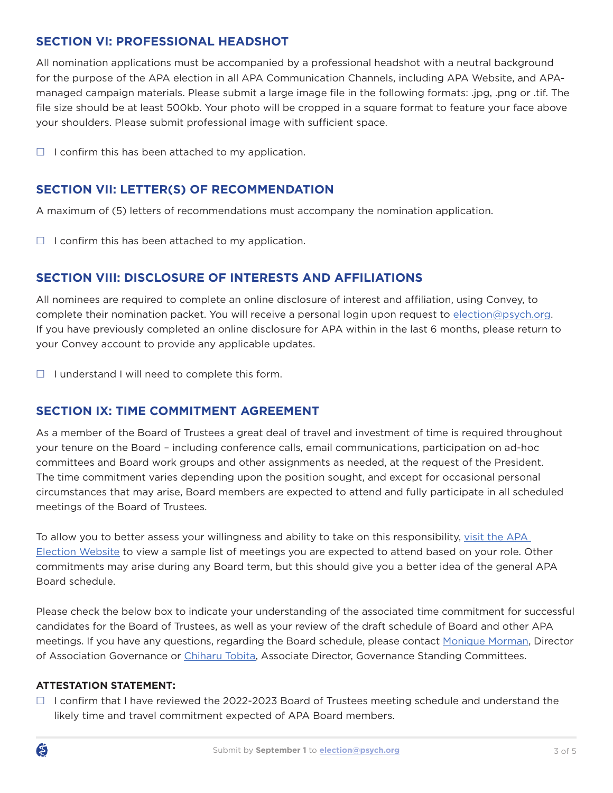## **SECTION VI: PROFESSIONAL HEADSHOT**

All nomination applications must be accompanied by a professional headshot with a neutral background for the purpose of the APA election in all APA Communication Channels, including APA Website, and APAmanaged campaign materials. Please submit a large image file in the following formats: .jpg, .png or .tif. The file size should be at least 500kb. Your photo will be cropped in a square format to feature your face above your shoulders. Please submit professional image with sufficient space.

 $\Box$  I confirm this has been attached to my application.

## **SECTION VII: LETTER(S) OF RECOMMENDATION**

A maximum of (5) letters of recommendations must accompany the nomination application.

 $\Box$  I confirm this has been attached to my application.

## **SECTION VIII: DISCLOSURE OF INTERESTS AND AFFILIATIONS**

All nominees are required to complete an online disclosure of interest and affiliation, using Convey, to complete their nomination packet. You will receive a personal login upon request to [election@psych.org](mailto:election@psych.org). If you have previously completed an online disclosure for APA within in the last 6 months, please return to your Convey account to provide any applicable updates.

 $\Box$  I understand I will need to complete this form.

#### **SECTION IX: TIME COMMITMENT AGREEMENT**

As a member of the Board of Trustees a great deal of travel and investment of time is required throughout your tenure on the Board – including conference calls, email communications, participation on ad-hoc committees and Board work groups and other assignments as needed, at the request of the President. The time commitment varies depending upon the position sought, and except for occasional personal circumstances that may arise, Board members are expected to attend and fully participate in all scheduled meetings of the Board of Trustees.

To allow you to better assess your willingness and ability to take on this responsibility, [visit the APA](https://www.psychiatry.org/psychiatrists/awards-leadership-opportunities/leadership-opportunities/elections)  [Election Website](https://www.psychiatry.org/psychiatrists/awards-leadership-opportunities/leadership-opportunities/elections) to view a sample list of meetings you are expected to attend based on your role. Other commitments may arise during any Board term, but this should give you a better idea of the general APA Board schedule.

Please check the below box to indicate your understanding of the associated time commitment for successful candidates for the Board of Trustees, as well as your review of the draft schedule of Board and other APA meetings. If you have any questions, regarding the Board schedule, please contact [Monique Morman](mailto:mmorman@psych.org), Director of Association Governance or [Chiharu Tobita](mailto:ctobita@psych.org), Associate Director, Governance Standing Committees.

#### **ATTESTATION STATEMENT:**

 $\Box$  I confirm that I have reviewed the 2022-2023 Board of Trustees meeting schedule and understand the likely time and travel commitment expected of APA Board members.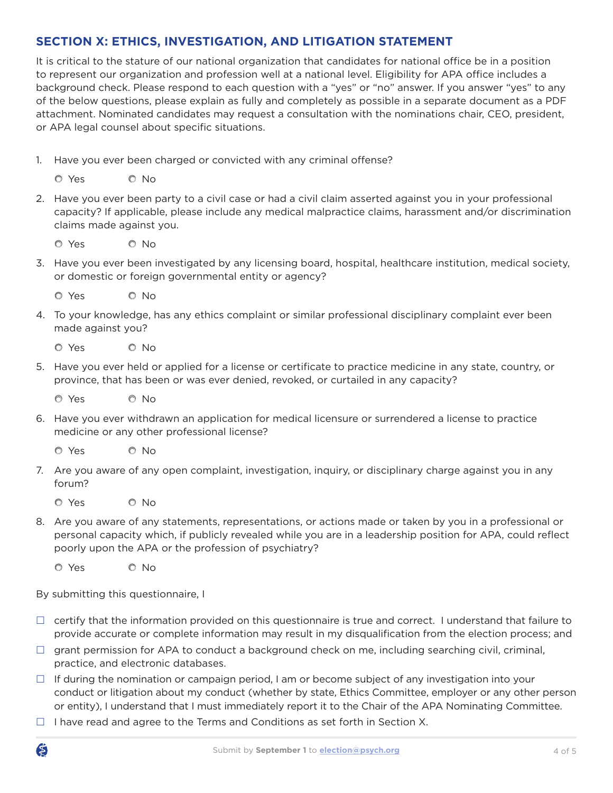# **SECTION X: ETHICS, INVESTIGATION, AND LITIGATION STATEMENT**

It is critical to the stature of our national organization that candidates for national office be in a position to represent our organization and profession well at a national level. Eligibility for APA office includes a background check. Please respond to each question with a "yes" or "no" answer. If you answer "yes" to any of the below questions, please explain as fully and completely as possible in a separate document as a PDF attachment. Nominated candidates may request a consultation with the nominations chair, CEO, president, or APA legal counsel about specific situations.

1. Have you ever been charged or convicted with any criminal offense?

| O Yes |  | $\circ$ No |  |
|-------|--|------------|--|
|       |  |            |  |

2. Have you ever been party to a civil case or had a civil claim asserted against you in your professional capacity? If applicable, please include any medical malpractice claims, harassment and/or discrimination claims made against you.

O Yes O No

- 3. Have you ever been investigated by any licensing board, hospital, healthcare institution, medical society, or domestic or foreign governmental entity or agency?
	- O Yes O No
- 4. To your knowledge, has any ethics complaint or similar professional disciplinary complaint ever been made against you?
	- O Yes O No
- 5. Have you ever held or applied for a license or certificate to practice medicine in any state, country, or province, that has been or was ever denied, revoked, or curtailed in any capacity?

 $OYes$   $ONO$ 

- 6. Have you ever withdrawn an application for medical licensure or surrendered a license to practice medicine or any other professional license?
	- $OYes$   $ONO$
- 7. Are you aware of any open complaint, investigation, inquiry, or disciplinary charge against you in any forum?

O Yes O No

8. Are you aware of any statements, representations, or actions made or taken by you in a professional or personal capacity which, if publicly revealed while you are in a leadership position for APA, could reflect poorly upon the APA or the profession of psychiatry?

O Yes O No

Ő

By submitting this questionnaire, I

- $\Box$  certify that the information provided on this questionnaire is true and correct. I understand that failure to provide accurate or complete information may result in my disqualification from the election process; and
- $\Box$  grant permission for APA to conduct a background check on me, including searching civil, criminal, practice, and electronic databases.
- $\Box$  If during the nomination or campaign period, I am or become subject of any investigation into your conduct or litigation about my conduct (whether by state, Ethics Committee, employer or any other person or entity), I understand that I must immediately report it to the Chair of the APA Nominating Committee.
- $\Box$  I have read and agree to the Terms and Conditions as set forth in Section X.